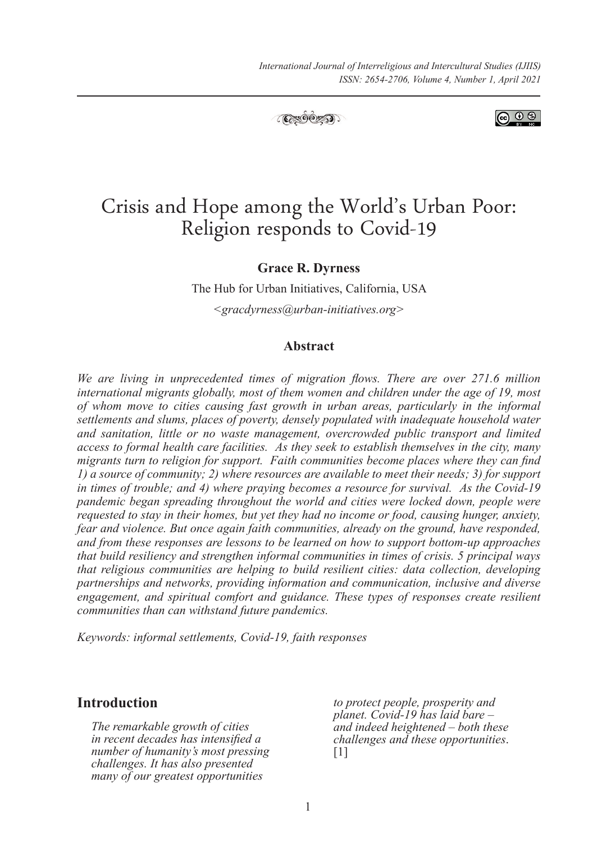

ெ 0

# Crisis and Hope among the World's Urban Poor: Religion responds to Covid-19

**Grace R. Dyrness**

The Hub for Urban Initiatives, California, USA

*<gracdyrness@urban-initiatives.org>*

## **Abstract**

*We are living in unprecedented times of migration flows. There are over 271.6 million international migrants globally, most of them women and children under the age of 19, most of whom move to cities causing fast growth in urban areas, particularly in the informal settlements and slums, places of poverty, densely populated with inadequate household water and sanitation, little or no waste management, overcrowded public transport and limited access to formal health care facilities. As they seek to establish themselves in the city, many migrants turn to religion for support. Faith communities become places where they can find 1) a source of community; 2) where resources are available to meet their needs; 3) for support in times of trouble; and 4) where praying becomes a resource for survival. As the Covid-19 pandemic began spreading throughout the world and cities were locked down, people were requested to stay in their homes, but yet they had no income or food, causing hunger, anxiety, fear and violence. But once again faith communities, already on the ground, have responded, and from these responses are lessons to be learned on how to support bottom-up approaches that build resiliency and strengthen informal communities in times of crisis. 5 principal ways that religious communities are helping to build resilient cities: data collection, developing partnerships and networks, providing information and communication, inclusive and diverse engagement, and spiritual comfort and guidance. These types of responses create resilient communities than can withstand future pandemics.* 

*Keywords: informal settlements, Covid-19, faith responses*

## **Introduction**

*The remarkable growth of cities in recent decades has intensified a number of humanity's most pressing challenges. It has also presented many of our greatest opportunities* 

*to protect people, prosperity and planet. Covid-19 has laid bare – and indeed heightened – both these challenges and these opportunities*. [1]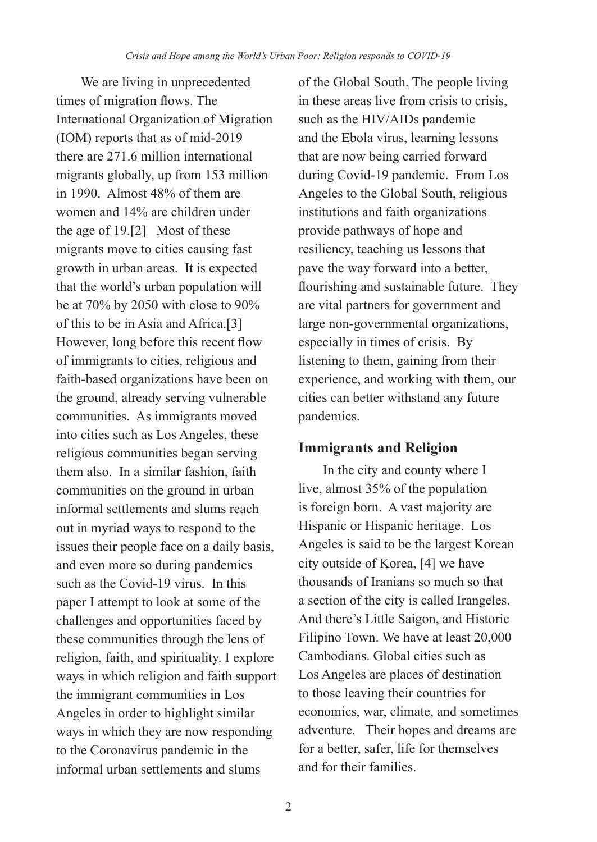We are living in unprecedented times of migration flows. The International Organization of Migration (IOM) reports that as of mid-2019 there are 271.6 million international migrants globally, up from 153 million in 1990. Almost 48% of them are women and 14% are children under the age of 19.[2] Most of these migrants move to cities causing fast growth in urban areas. It is expected that the world's urban population will be at 70% by 2050 with close to 90% of this to be in Asia and Africa.[3] However, long before this recent flow of immigrants to cities, religious and faith-based organizations have been on the ground, already serving vulnerable communities. As immigrants moved into cities such as Los Angeles, these religious communities began serving them also. In a similar fashion, faith communities on the ground in urban informal settlements and slums reach out in myriad ways to respond to the issues their people face on a daily basis, and even more so during pandemics such as the Covid-19 virus. In this paper I attempt to look at some of the challenges and opportunities faced by these communities through the lens of religion, faith, and spirituality. I explore ways in which religion and faith support the immigrant communities in Los Angeles in order to highlight similar ways in which they are now responding to the Coronavirus pandemic in the informal urban settlements and slums

of the Global South. The people living in these areas live from crisis to crisis, such as the HIV/AIDs pandemic and the Ebola virus, learning lessons that are now being carried forward during Covid-19 pandemic. From Los Angeles to the Global South, religious institutions and faith organizations provide pathways of hope and resiliency, teaching us lessons that pave the way forward into a better, flourishing and sustainable future. They are vital partners for government and large non-governmental organizations, especially in times of crisis. By listening to them, gaining from their experience, and working with them, our cities can better withstand any future pandemics.

# **Immigrants and Religion**

In the city and county where I live, almost 35% of the population is foreign born. A vast majority are Hispanic or Hispanic heritage. Los Angeles is said to be the largest Korean city outside of Korea, [4] we have thousands of Iranians so much so that a section of the city is called Irangeles. And there's Little Saigon, and Historic Filipino Town. We have at least 20,000 Cambodians. Global cities such as Los Angeles are places of destination to those leaving their countries for economics, war, climate, and sometimes adventure. Their hopes and dreams are for a better, safer, life for themselves and for their families.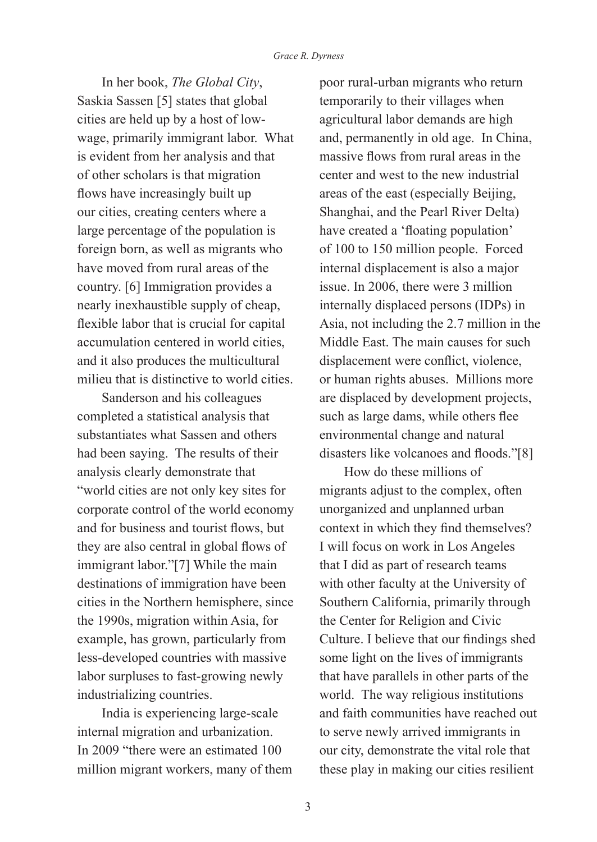In her book, *The Global City*, Saskia Sassen [5] states that global cities are held up by a host of lowwage, primarily immigrant labor. What is evident from her analysis and that of other scholars is that migration flows have increasingly built up our cities, creating centers where a large percentage of the population is foreign born, as well as migrants who have moved from rural areas of the country. [6] Immigration provides a nearly inexhaustible supply of cheap, flexible labor that is crucial for capital accumulation centered in world cities, and it also produces the multicultural milieu that is distinctive to world cities.

Sanderson and his colleagues completed a statistical analysis that substantiates what Sassen and others had been saying. The results of their analysis clearly demonstrate that "world cities are not only key sites for corporate control of the world economy and for business and tourist flows, but they are also central in global flows of immigrant labor."[7] While the main destinations of immigration have been cities in the Northern hemisphere, since the 1990s, migration within Asia, for example, has grown, particularly from less-developed countries with massive labor surpluses to fast-growing newly industrializing countries.

India is experiencing large-scale internal migration and urbanization. In 2009 "there were an estimated 100 million migrant workers, many of them

poor rural-urban migrants who return temporarily to their villages when agricultural labor demands are high and, permanently in old age. In China, massive flows from rural areas in the center and west to the new industrial areas of the east (especially Beijing, Shanghai, and the Pearl River Delta) have created a 'floating population' of 100 to 150 million people. Forced internal displacement is also a major issue. In 2006, there were 3 million internally displaced persons (IDPs) in Asia, not including the 2.7 million in the Middle East. The main causes for such displacement were conflict, violence, or human rights abuses. Millions more are displaced by development projects, such as large dams, while others flee environmental change and natural disasters like volcanoes and floods."[8]

How do these millions of migrants adjust to the complex, often unorganized and unplanned urban context in which they find themselves? I will focus on work in Los Angeles that I did as part of research teams with other faculty at the University of Southern California, primarily through the Center for Religion and Civic Culture. I believe that our findings shed some light on the lives of immigrants that have parallels in other parts of the world. The way religious institutions and faith communities have reached out to serve newly arrived immigrants in our city, demonstrate the vital role that these play in making our cities resilient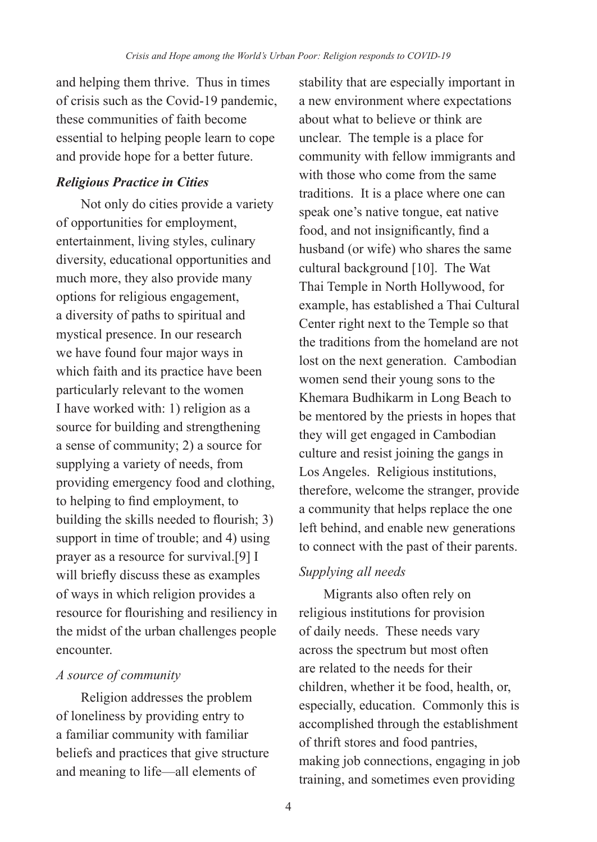and helping them thrive. Thus in times of crisis such as the Covid-19 pandemic, these communities of faith become essential to helping people learn to cope and provide hope for a better future.

## *Religious Practice in Cities*

Not only do cities provide a variety of opportunities for employment, entertainment, living styles, culinary diversity, educational opportunities and much more, they also provide many options for religious engagement, a diversity of paths to spiritual and mystical presence. In our research we have found four major ways in which faith and its practice have been particularly relevant to the women I have worked with: 1) religion as a source for building and strengthening a sense of community; 2) a source for supplying a variety of needs, from providing emergency food and clothing, to helping to find employment, to building the skills needed to flourish; 3) support in time of trouble; and 4) using prayer as a resource for survival.[9] I will briefly discuss these as examples of ways in which religion provides a resource for flourishing and resiliency in the midst of the urban challenges people encounter.

## *A source of community*

Religion addresses the problem of loneliness by providing entry to a familiar community with familiar beliefs and practices that give structure and meaning to life—all elements of

stability that are especially important in a new environment where expectations about what to believe or think are unclear. The temple is a place for community with fellow immigrants and with those who come from the same traditions. It is a place where one can speak one's native tongue, eat native food, and not insignificantly, find a husband (or wife) who shares the same cultural background [10]. The Wat Thai Temple in North Hollywood, for example, has established a Thai Cultural Center right next to the Temple so that the traditions from the homeland are not lost on the next generation. Cambodian women send their young sons to the Khemara Budhikarm in Long Beach to be mentored by the priests in hopes that they will get engaged in Cambodian culture and resist joining the gangs in Los Angeles. Religious institutions, therefore, welcome the stranger, provide a community that helps replace the one left behind, and enable new generations to connect with the past of their parents.

# *Supplying all needs*

Migrants also often rely on religious institutions for provision of daily needs. These needs vary across the spectrum but most often are related to the needs for their children, whether it be food, health, or, especially, education. Commonly this is accomplished through the establishment of thrift stores and food pantries, making job connections, engaging in job training, and sometimes even providing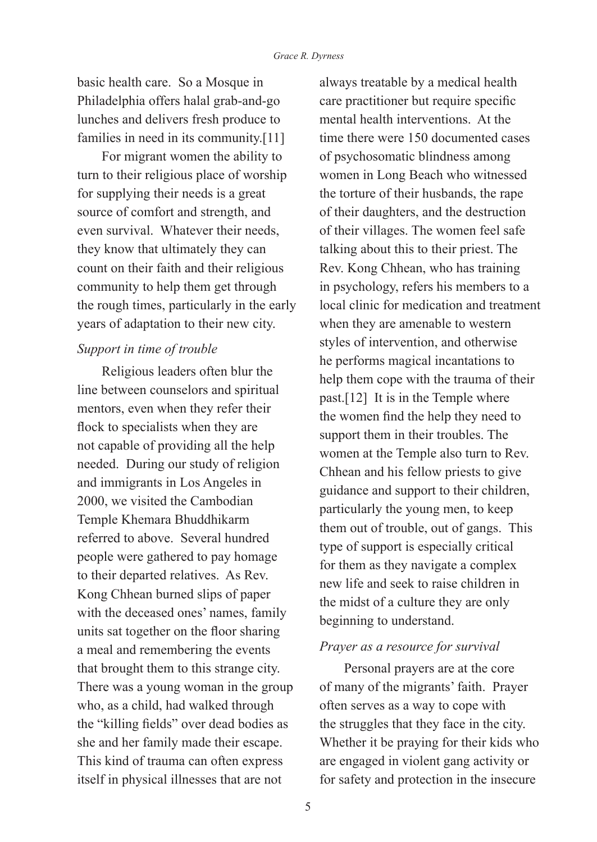basic health care. So a Mosque in Philadelphia offers halal grab-and-go lunches and delivers fresh produce to families in need in its community.<sup>[11]</sup>

For migrant women the ability to turn to their religious place of worship for supplying their needs is a great source of comfort and strength, and even survival. Whatever their needs, they know that ultimately they can count on their faith and their religious community to help them get through the rough times, particularly in the early years of adaptation to their new city.

## *Support in time of trouble*

Religious leaders often blur the line between counselors and spiritual mentors, even when they refer their flock to specialists when they are not capable of providing all the help needed. During our study of religion and immigrants in Los Angeles in 2000, we visited the Cambodian Temple Khemara Bhuddhikarm referred to above. Several hundred people were gathered to pay homage to their departed relatives. As Rev. Kong Chhean burned slips of paper with the deceased ones' names, family units sat together on the floor sharing a meal and remembering the events that brought them to this strange city. There was a young woman in the group who, as a child, had walked through the "killing fields" over dead bodies as she and her family made their escape. This kind of trauma can often express itself in physical illnesses that are not

always treatable by a medical health care practitioner but require specific mental health interventions. At the time there were 150 documented cases of psychosomatic blindness among women in Long Beach who witnessed the torture of their husbands, the rape of their daughters, and the destruction of their villages. The women feel safe talking about this to their priest. The Rev. Kong Chhean, who has training in psychology, refers his members to a local clinic for medication and treatment when they are amenable to western styles of intervention, and otherwise he performs magical incantations to help them cope with the trauma of their past.[12] It is in the Temple where the women find the help they need to support them in their troubles. The women at the Temple also turn to Rev. Chhean and his fellow priests to give guidance and support to their children, particularly the young men, to keep them out of trouble, out of gangs. This type of support is especially critical for them as they navigate a complex new life and seek to raise children in the midst of a culture they are only beginning to understand.

## *Prayer as a resource for survival*

Personal prayers are at the core of many of the migrants' faith. Prayer often serves as a way to cope with the struggles that they face in the city. Whether it be praying for their kids who are engaged in violent gang activity or for safety and protection in the insecure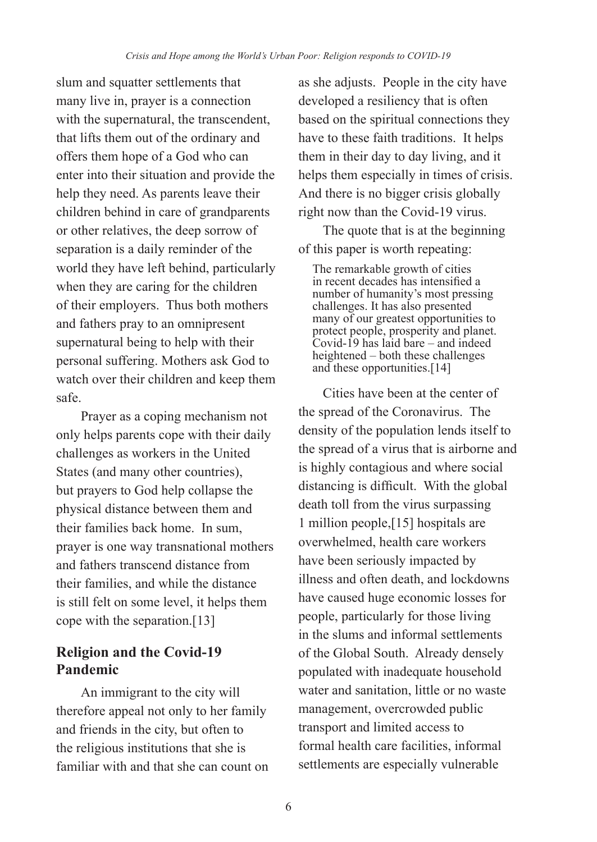slum and squatter settlements that many live in, prayer is a connection with the supernatural, the transcendent, that lifts them out of the ordinary and offers them hope of a God who can enter into their situation and provide the help they need. As parents leave their children behind in care of grandparents or other relatives, the deep sorrow of separation is a daily reminder of the world they have left behind, particularly when they are caring for the children of their employers. Thus both mothers and fathers pray to an omnipresent supernatural being to help with their personal suffering. Mothers ask God to watch over their children and keep them safe.

Prayer as a coping mechanism not only helps parents cope with their daily challenges as workers in the United States (and many other countries), but prayers to God help collapse the physical distance between them and their families back home. In sum, prayer is one way transnational mothers and fathers transcend distance from their families, and while the distance is still felt on some level, it helps them cope with the separation.[13]

# **Religion and the Covid-19 Pandemic**

An immigrant to the city will therefore appeal not only to her family and friends in the city, but often to the religious institutions that she is familiar with and that she can count on as she adjusts. People in the city have developed a resiliency that is often based on the spiritual connections they have to these faith traditions. It helps them in their day to day living, and it helps them especially in times of crisis. And there is no bigger crisis globally right now than the Covid-19 virus.

The quote that is at the beginning of this paper is worth repeating:

The remarkable growth of cities in recent decades has intensified a number of humanity's most pressing challenges. It has also presented many of our greatest opportunities to protect people, prosperity and planet. Covid-19 has laid bare – and indeed heightened – both these challenges and these opportunities.[14]

Cities have been at the center of the spread of the Coronavirus. The density of the population lends itself to the spread of a virus that is airborne and is highly contagious and where social distancing is difficult. With the global death toll from the virus surpassing 1 million people,[15] hospitals are overwhelmed, health care workers have been seriously impacted by illness and often death, and lockdowns have caused huge economic losses for people, particularly for those living in the slums and informal settlements of the Global South. Already densely populated with inadequate household water and sanitation, little or no waste management, overcrowded public transport and limited access to formal health care facilities, informal settlements are especially vulnerable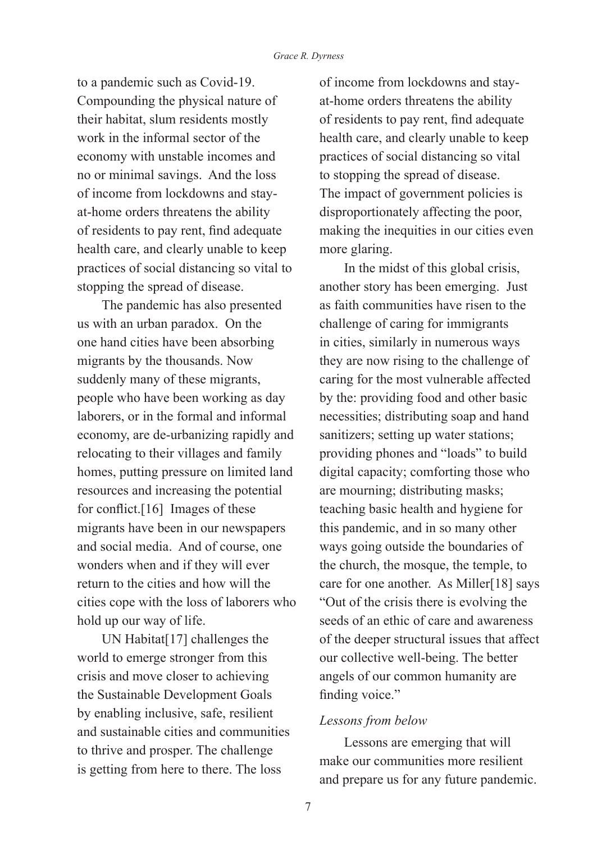to a pandemic such as Covid-19. Compounding the physical nature of their habitat, slum residents mostly work in the informal sector of the economy with unstable incomes and no or minimal savings. And the loss of income from lockdowns and stayat-home orders threatens the ability of residents to pay rent, find adequate health care, and clearly unable to keep practices of social distancing so vital to stopping the spread of disease.

The pandemic has also presented us with an urban paradox. On the one hand cities have been absorbing migrants by the thousands. Now suddenly many of these migrants, people who have been working as day laborers, or in the formal and informal economy, are de-urbanizing rapidly and relocating to their villages and family homes, putting pressure on limited land resources and increasing the potential for conflict.[16] Images of these migrants have been in our newspapers and social media. And of course, one wonders when and if they will ever return to the cities and how will the cities cope with the loss of laborers who hold up our way of life.

UN Habitat[17] challenges the world to emerge stronger from this crisis and move closer to achieving the Sustainable Development Goals by enabling inclusive, safe, resilient and sustainable cities and communities to thrive and prosper. The challenge is getting from here to there. The loss

of income from lockdowns and stayat-home orders threatens the ability of residents to pay rent, find adequate health care, and clearly unable to keep practices of social distancing so vital to stopping the spread of disease. The impact of government policies is disproportionately affecting the poor, making the inequities in our cities even more glaring.

In the midst of this global crisis, another story has been emerging. Just as faith communities have risen to the challenge of caring for immigrants in cities, similarly in numerous ways they are now rising to the challenge of caring for the most vulnerable affected by the: providing food and other basic necessities; distributing soap and hand sanitizers; setting up water stations; providing phones and "loads" to build digital capacity; comforting those who are mourning; distributing masks; teaching basic health and hygiene for this pandemic, and in so many other ways going outside the boundaries of the church, the mosque, the temple, to care for one another. As Miller[18] says "Out of the crisis there is evolving the seeds of an ethic of care and awareness of the deeper structural issues that affect our collective well-being. The better angels of our common humanity are finding voice."

### *Lessons from below*

Lessons are emerging that will make our communities more resilient and prepare us for any future pandemic.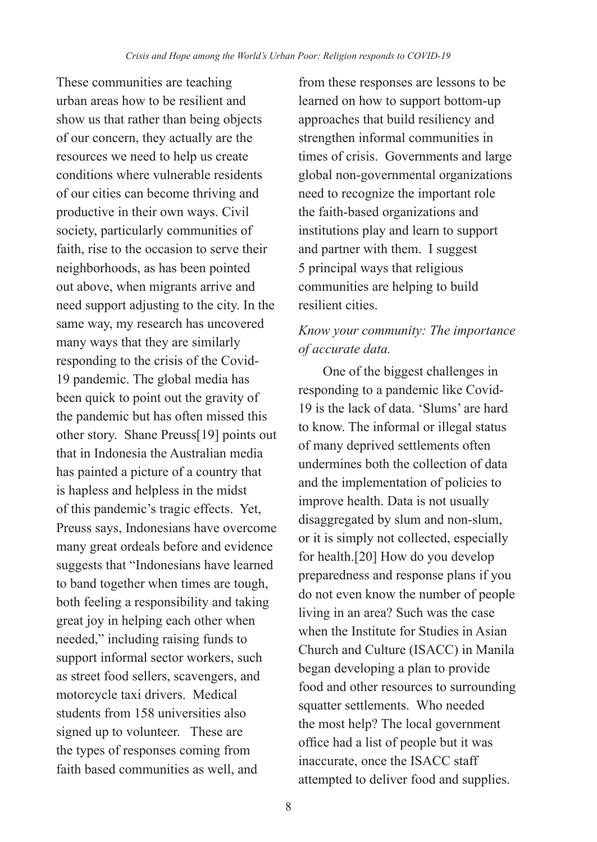These communities are teaching urban areas how to be resilient and show us that rather than being objects of our concern, they actually are the resources we need to help us create conditions where vulnerable residents of our cities can become thriving and productive in their own ways. Civil society, particularly communities of faith, rise to the occasion to serve their neighborhoods, as has been pointed out above, when migrants arrive and need support adjusting to the city. In the same way, my research has uncovered many ways that they are similarly responding to the crisis of the Covid-19 pandemic. The global media has been quick to point out the gravity of the pandemic but has often missed this other story. Shane Preuss[19] points out that in Indonesia the Australian media has painted a picture of a country that is hapless and helpless in the midst of this pandemic's tragic effects. Yet, Preuss says, Indonesians have overcome many great ordeals before and evidence suggests that "Indonesians have learned to band together when times are tough, both feeling a responsibility and taking great joy in helping each other when needed," including raising funds to support informal sector workers, such as street food sellers, scavengers, and motorcycle taxi drivers. Medical students from 158 universities also signed up to volunteer. These are the types of responses coming from faith based communities as well, and

from these responses are lessons to be learned on how to support bottom-up approaches that build resiliency and strengthen informal communities in times of crisis. Governments and large global non-governmental organizations need to recognize the important role the faith-based organizations and institutions play and learn to support and partner with them. I suggest 5 principal ways that religious communities are helping to build resilient cities.

# *Know your community: The importance of accurate data.*

One of the biggest challenges in responding to a pandemic like Covid-19 is the lack of data. 'Slums' are hard to know. The informal or illegal status of many deprived settlements often undermines both the collection of data and the implementation of policies to improve health. Data is not usually disaggregated by slum and non-slum, or it is simply not collected, especially for health.[20] How do you develop preparedness and response plans if you do not even know the number of people living in an area? Such was the case when the Institute for Studies in Asian Church and Culture (ISACC) in Manila began developing a plan to provide food and other resources to surrounding squatter settlements. Who needed the most help? The local government office had a list of people but it was inaccurate, once the ISACC staff attempted to deliver food and supplies.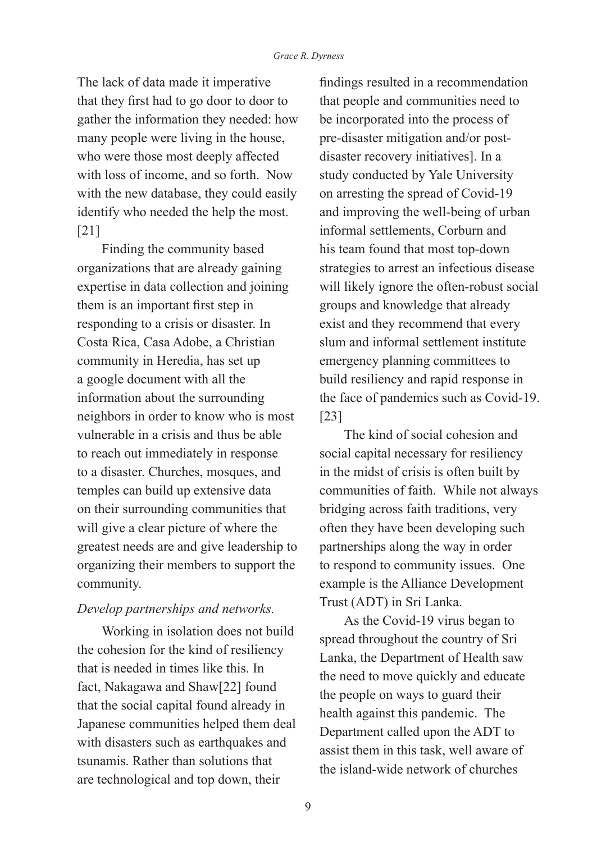The lack of data made it imperative that they first had to go door to door to gather the information they needed: how many people were living in the house, who were those most deeply affected with loss of income, and so forth. Now with the new database, they could easily identify who needed the help the most. [21]

Finding the community based organizations that are already gaining expertise in data collection and joining them is an important first step in responding to a crisis or disaster. In Costa Rica, Casa Adobe, a Christian community in Heredia, has set up a google document with all the information about the surrounding neighbors in order to know who is most vulnerable in a crisis and thus be able to reach out immediately in response to a disaster. Churches, mosques, and temples can build up extensive data on their surrounding communities that will give a clear picture of where the greatest needs are and give leadership to organizing their members to support the community.

### *Develop partnerships and networks.*

Working in isolation does not build the cohesion for the kind of resiliency that is needed in times like this. In fact, Nakagawa and Shaw[22] found that the social capital found already in Japanese communities helped them deal with disasters such as earthquakes and tsunamis. Rather than solutions that are technological and top down, their

findings resulted in a recommendation that people and communities need to be incorporated into the process of pre-disaster mitigation and/or postdisaster recovery initiatives]. In a study conducted by Yale University on arresting the spread of Covid-19 and improving the well-being of urban informal settlements, Corburn and his team found that most top-down strategies to arrest an infectious disease will likely ignore the often-robust social groups and knowledge that already exist and they recommend that every slum and informal settlement institute emergency planning committees to build resiliency and rapid response in the face of pandemics such as Covid-19. [23]

The kind of social cohesion and social capital necessary for resiliency in the midst of crisis is often built by communities of faith. While not always bridging across faith traditions, very often they have been developing such partnerships along the way in order to respond to community issues. One example is the Alliance Development Trust (ADT) in Sri Lanka.

As the Covid-19 virus began to spread throughout the country of Sri Lanka, the Department of Health saw the need to move quickly and educate the people on ways to guard their health against this pandemic. The Department called upon the ADT to assist them in this task, well aware of the island-wide network of churches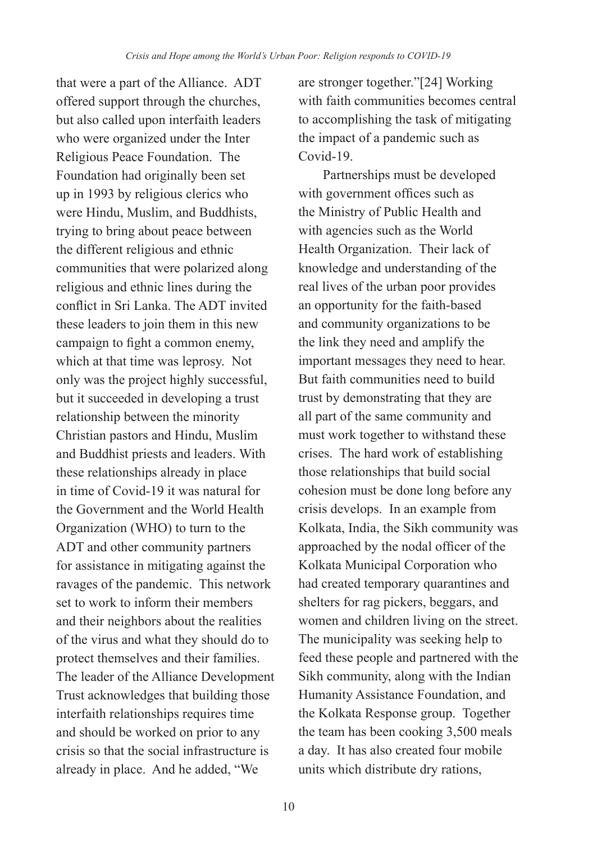that were a part of the Alliance. ADT offered support through the churches, but also called upon interfaith leaders who were organized under the Inter Religious Peace Foundation. The Foundation had originally been set up in 1993 by religious clerics who were Hindu, Muslim, and Buddhists, trying to bring about peace between the different religious and ethnic communities that were polarized along religious and ethnic lines during the conflict in Sri Lanka. The ADT invited these leaders to join them in this new campaign to fight a common enemy, which at that time was leprosy. Not only was the project highly successful, but it succeeded in developing a trust relationship between the minority Christian pastors and Hindu, Muslim and Buddhist priests and leaders. With these relationships already in place in time of Covid-19 it was natural for the Government and the World Health Organization (WHO) to turn to the ADT and other community partners for assistance in mitigating against the ravages of the pandemic. This network set to work to inform their members and their neighbors about the realities of the virus and what they should do to protect themselves and their families. The leader of the Alliance Development Trust acknowledges that building those interfaith relationships requires time and should be worked on prior to any crisis so that the social infrastructure is already in place. And he added, "We

are stronger together."[24] Working with faith communities becomes central to accomplishing the task of mitigating the impact of a pandemic such as Covid-19.

Partnerships must be developed with government offices such as the Ministry of Public Health and with agencies such as the World Health Organization. Their lack of knowledge and understanding of the real lives of the urban poor provides an opportunity for the faith-based and community organizations to be the link they need and amplify the important messages they need to hear. But faith communities need to build trust by demonstrating that they are all part of the same community and must work together to withstand these crises. The hard work of establishing those relationships that build social cohesion must be done long before any crisis develops. In an example from Kolkata, India, the Sikh community was approached by the nodal officer of the Kolkata Municipal Corporation who had created temporary quarantines and shelters for rag pickers, beggars, and women and children living on the street. The municipality was seeking help to feed these people and partnered with the Sikh community, along with the Indian Humanity Assistance Foundation, and the Kolkata Response group. Together the team has been cooking 3,500 meals a day. It has also created four mobile units which distribute dry rations,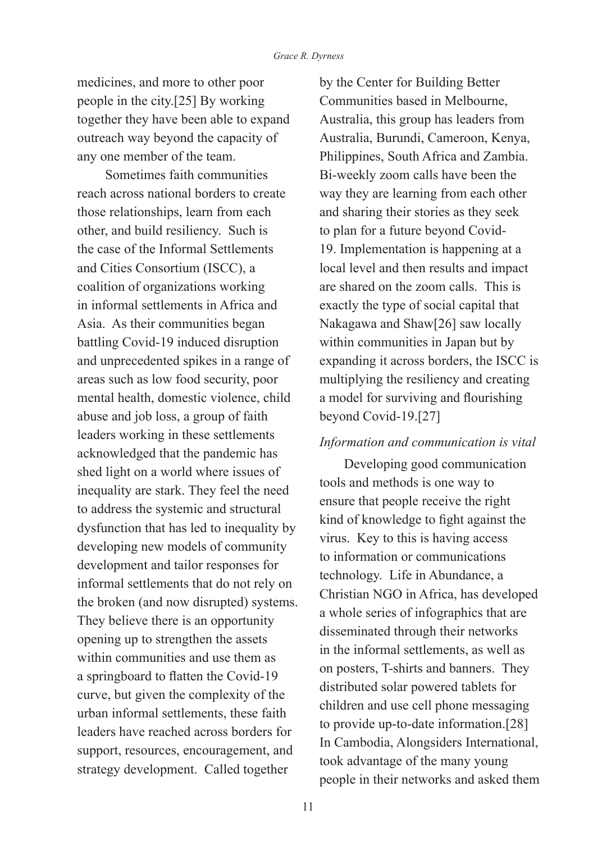medicines, and more to other poor people in the city.[25] By working together they have been able to expand outreach way beyond the capacity of any one member of the team.

 Sometimes faith communities reach across national borders to create those relationships, learn from each other, and build resiliency. Such is the case of the Informal Settlements and Cities Consortium (ISCC), a coalition of organizations working in informal settlements in Africa and Asia. As their communities began battling Covid-19 induced disruption and unprecedented spikes in a range of areas such as low food security, poor mental health, domestic violence, child abuse and job loss, a group of faith leaders working in these settlements acknowledged that the pandemic has shed light on a world where issues of inequality are stark. They feel the need to address the systemic and structural dysfunction that has led to inequality by developing new models of community development and tailor responses for informal settlements that do not rely on the broken (and now disrupted) systems. They believe there is an opportunity opening up to strengthen the assets within communities and use them as a springboard to flatten the Covid-19 curve, but given the complexity of the urban informal settlements, these faith leaders have reached across borders for support, resources, encouragement, and strategy development. Called together

by the Center for Building Better Communities based in Melbourne, Australia, this group has leaders from Australia, Burundi, Cameroon, Kenya, Philippines, South Africa and Zambia. Bi-weekly zoom calls have been the way they are learning from each other and sharing their stories as they seek to plan for a future beyond Covid-19. Implementation is happening at a local level and then results and impact are shared on the zoom calls. This is exactly the type of social capital that Nakagawa and Shaw[26] saw locally within communities in Japan but by expanding it across borders, the ISCC is multiplying the resiliency and creating a model for surviving and flourishing beyond Covid-19.[27]

#### *Information and communication is vital*

Developing good communication tools and methods is one way to ensure that people receive the right kind of knowledge to fight against the virus. Key to this is having access to information or communications technology. Life in Abundance, a Christian NGO in Africa, has developed a whole series of infographics that are disseminated through their networks in the informal settlements, as well as on posters, T-shirts and banners. They distributed solar powered tablets for children and use cell phone messaging to provide up-to-date information.[28] In Cambodia, Alongsiders International, took advantage of the many young people in their networks and asked them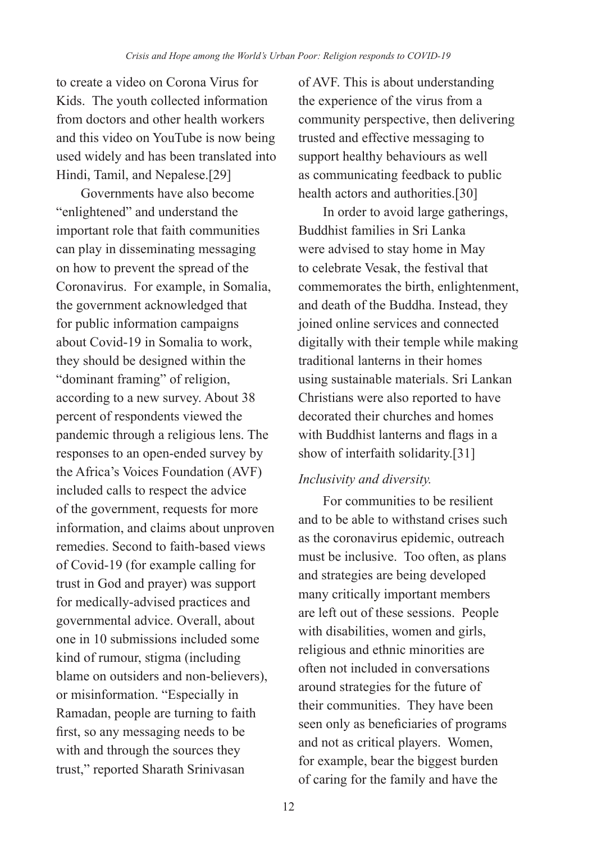to create a video on Corona Virus for Kids. The youth collected information from doctors and other health workers and this video on YouTube is now being used widely and has been translated into Hindi, Tamil, and Nepalese.[29]

Governments have also become "enlightened" and understand the important role that faith communities can play in disseminating messaging on how to prevent the spread of the Coronavirus. For example, in Somalia, the government acknowledged that for public information campaigns about Covid-19 in Somalia to work, they should be designed within the "dominant framing" of religion, according to a new survey. About 38 percent of respondents viewed the pandemic through a religious lens. The responses to an open-ended survey by the Africa's Voices Foundation (AVF) included calls to respect the advice of the government, requests for more information, and claims about unproven remedies. Second to faith-based views of Covid-19 (for example calling for trust in God and prayer) was support for medically-advised practices and governmental advice. Overall, about one in 10 submissions included some kind of rumour, stigma (including blame on outsiders and non-believers), or misinformation. "Especially in Ramadan, people are turning to faith first, so any messaging needs to be with and through the sources they trust," reported Sharath Srinivasan

of AVF. This is about understanding the experience of the virus from a community perspective, then delivering trusted and effective messaging to support healthy behaviours as well as communicating feedback to public health actors and authorities.[30]

In order to avoid large gatherings, Buddhist families in Sri Lanka were advised to stay home in May to celebrate Vesak, the festival that commemorates the birth, enlightenment, and death of the Buddha. Instead, they joined online services and connected digitally with their temple while making traditional lanterns in their homes using sustainable materials. Sri Lankan Christians were also reported to have decorated their churches and homes with Buddhist lanterns and flags in a show of interfaith solidarity.[31]

## *Inclusivity and diversity.*

For communities to be resilient and to be able to withstand crises such as the coronavirus epidemic, outreach must be inclusive. Too often, as plans and strategies are being developed many critically important members are left out of these sessions. People with disabilities, women and girls, religious and ethnic minorities are often not included in conversations around strategies for the future of their communities. They have been seen only as beneficiaries of programs and not as critical players. Women, for example, bear the biggest burden of caring for the family and have the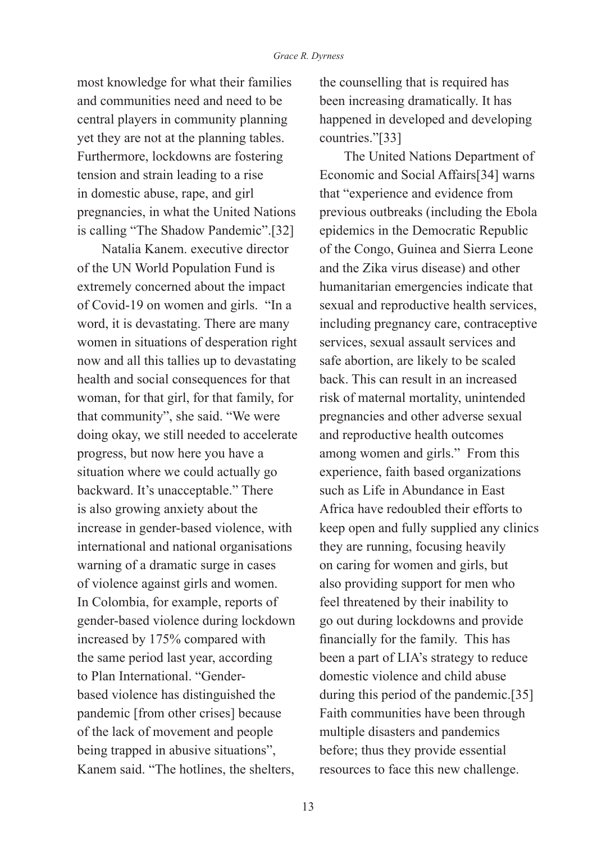most knowledge for what their families and communities need and need to be central players in community planning yet they are not at the planning tables. Furthermore, lockdowns are fostering tension and strain leading to a rise in domestic abuse, rape, and girl pregnancies, in what the United Nations is calling "The Shadow Pandemic".[32]

Natalia Kanem. executive director of the UN World Population Fund is extremely concerned about the impact of Covid-19 on women and girls. "In a word, it is devastating. There are many women in situations of desperation right now and all this tallies up to devastating health and social consequences for that woman, for that girl, for that family, for that community", she said. "We were doing okay, we still needed to accelerate progress, but now here you have a situation where we could actually go backward. It's unacceptable." There is also growing anxiety about the increase in gender-based violence, with international and national organisations warning of a dramatic surge in cases of violence against girls and women. In Colombia, for example, reports of gender-based violence during lockdown increased by 175% compared with the same period last year, according to Plan International. "Genderbased violence has distinguished the pandemic [from other crises] because of the lack of movement and people being trapped in abusive situations", Kanem said. "The hotlines, the shelters,

the counselling that is required has been increasing dramatically. It has happened in developed and developing countries."[33]

The United Nations Department of Economic and Social Affairs[34] warns that "experience and evidence from previous outbreaks (including the Ebola epidemics in the Democratic Republic of the Congo, Guinea and Sierra Leone and the Zika virus disease) and other humanitarian emergencies indicate that sexual and reproductive health services, including pregnancy care, contraceptive services, sexual assault services and safe abortion, are likely to be scaled back. This can result in an increased risk of maternal mortality, unintended pregnancies and other adverse sexual and reproductive health outcomes among women and girls." From this experience, faith based organizations such as Life in Abundance in East Africa have redoubled their efforts to keep open and fully supplied any clinics they are running, focusing heavily on caring for women and girls, but also providing support for men who feel threatened by their inability to go out during lockdowns and provide financially for the family. This has been a part of LIA's strategy to reduce domestic violence and child abuse during this period of the pandemic.[35] Faith communities have been through multiple disasters and pandemics before; thus they provide essential resources to face this new challenge.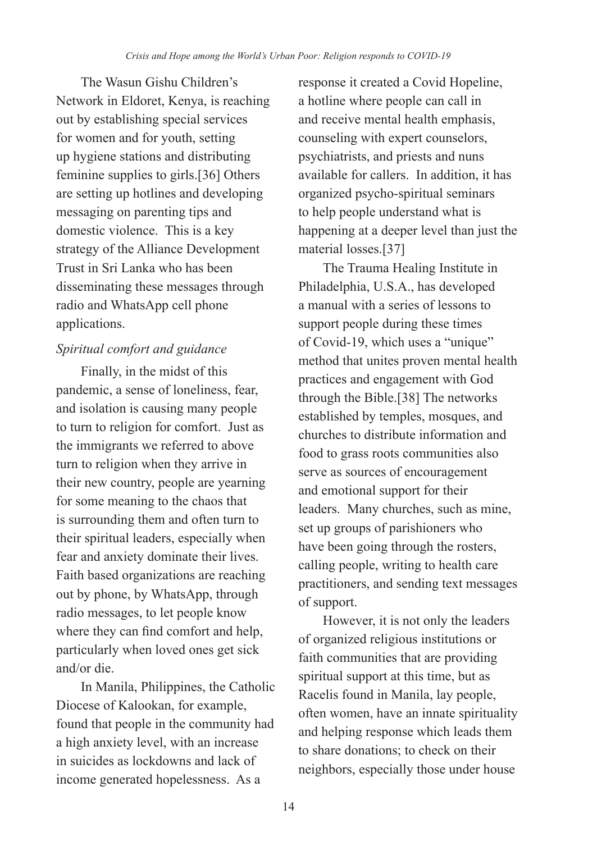The Wasun Gishu Children's Network in Eldoret, Kenya, is reaching out by establishing special services for women and for youth, setting up hygiene stations and distributing feminine supplies to girls.[36] Others are setting up hotlines and developing messaging on parenting tips and domestic violence. This is a key strategy of the Alliance Development Trust in Sri Lanka who has been disseminating these messages through radio and WhatsApp cell phone applications.

# *Spiritual comfort and guidance*

Finally, in the midst of this pandemic, a sense of loneliness, fear, and isolation is causing many people to turn to religion for comfort. Just as the immigrants we referred to above turn to religion when they arrive in their new country, people are yearning for some meaning to the chaos that is surrounding them and often turn to their spiritual leaders, especially when fear and anxiety dominate their lives. Faith based organizations are reaching out by phone, by WhatsApp, through radio messages, to let people know where they can find comfort and help, particularly when loved ones get sick and/or die.

In Manila, Philippines, the Catholic Diocese of Kalookan, for example, found that people in the community had a high anxiety level, with an increase in suicides as lockdowns and lack of income generated hopelessness. As a

response it created a Covid Hopeline, a hotline where people can call in and receive mental health emphasis, counseling with expert counselors, psychiatrists, and priests and nuns available for callers. In addition, it has organized psycho-spiritual seminars to help people understand what is happening at a deeper level than just the material losses.[37]

The Trauma Healing Institute in Philadelphia, U.S.A., has developed a manual with a series of lessons to support people during these times of Covid-19, which uses a "unique" method that unites proven mental health practices and engagement with God through the Bible.[38] The networks established by temples, mosques, and churches to distribute information and food to grass roots communities also serve as sources of encouragement and emotional support for their leaders. Many churches, such as mine, set up groups of parishioners who have been going through the rosters, calling people, writing to health care practitioners, and sending text messages of support.

However, it is not only the leaders of organized religious institutions or faith communities that are providing spiritual support at this time, but as Racelis found in Manila, lay people, often women, have an innate spirituality and helping response which leads them to share donations; to check on their neighbors, especially those under house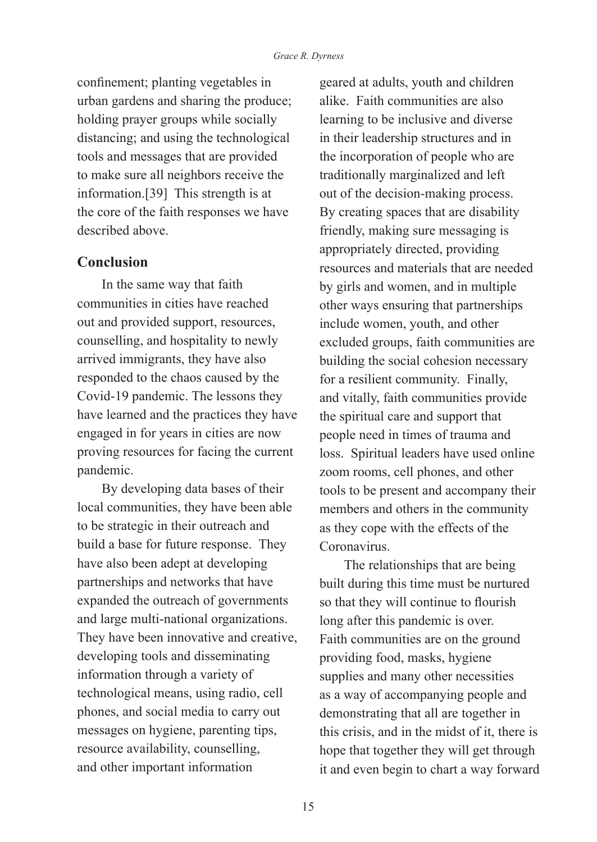confinement; planting vegetables in urban gardens and sharing the produce; holding prayer groups while socially distancing; and using the technological tools and messages that are provided to make sure all neighbors receive the information.[39] This strength is at the core of the faith responses we have described above.

## **Conclusion**

In the same way that faith communities in cities have reached out and provided support, resources, counselling, and hospitality to newly arrived immigrants, they have also responded to the chaos caused by the Covid-19 pandemic. The lessons they have learned and the practices they have engaged in for years in cities are now proving resources for facing the current pandemic.

By developing data bases of their local communities, they have been able to be strategic in their outreach and build a base for future response. They have also been adept at developing partnerships and networks that have expanded the outreach of governments and large multi-national organizations. They have been innovative and creative, developing tools and disseminating information through a variety of technological means, using radio, cell phones, and social media to carry out messages on hygiene, parenting tips, resource availability, counselling, and other important information

geared at adults, youth and children alike. Faith communities are also learning to be inclusive and diverse in their leadership structures and in the incorporation of people who are traditionally marginalized and left out of the decision-making process. By creating spaces that are disability friendly, making sure messaging is appropriately directed, providing resources and materials that are needed by girls and women, and in multiple other ways ensuring that partnerships include women, youth, and other excluded groups, faith communities are building the social cohesion necessary for a resilient community. Finally, and vitally, faith communities provide the spiritual care and support that people need in times of trauma and loss. Spiritual leaders have used online zoom rooms, cell phones, and other tools to be present and accompany their members and others in the community as they cope with the effects of the Coronavirus.

The relationships that are being built during this time must be nurtured so that they will continue to flourish long after this pandemic is over. Faith communities are on the ground providing food, masks, hygiene supplies and many other necessities as a way of accompanying people and demonstrating that all are together in this crisis, and in the midst of it, there is hope that together they will get through it and even begin to chart a way forward

15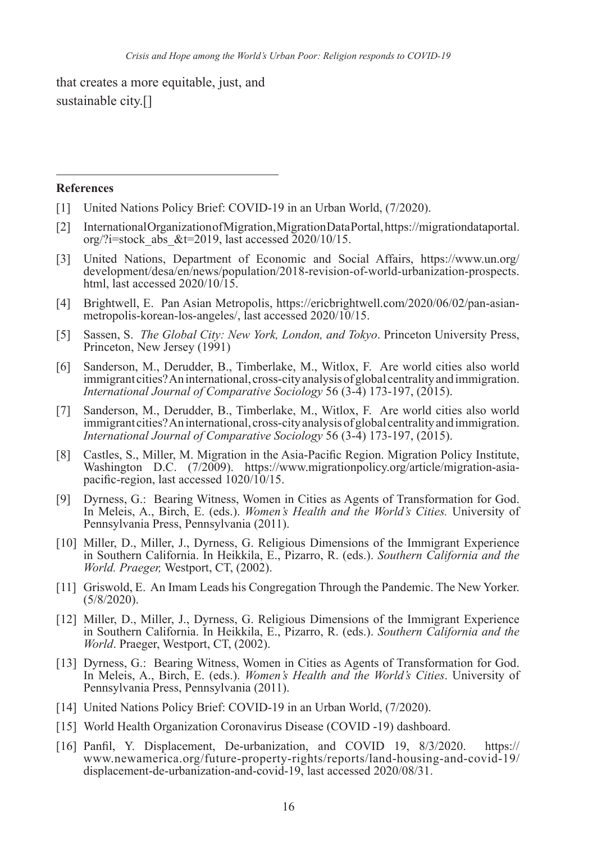that creates a more equitable, just, and sustainable city.[]

#### **References**

- [1] United Nations Policy Brief: COVID-19 in an Urban World, (7/2020).
- [2] International Organization of Migration, Migration Data Portal, https://migrationdataportal. org/?i=stock\_abs\_&t=2019, last accessed  $2020/10/15$ .
- [3] United Nations, Department of Economic and Social Affairs, https://www.un.org/ development/desa/en/news/population/2018-revision-of-world-urbanization-prospects. html, last accessed 2020/10/15.
- [4] Brightwell, E. Pan Asian Metropolis, https://ericbrightwell.com/2020/06/02/pan-asianmetropolis-korean-los-angeles/, last accessed 2020/10/15.
- [5] Sassen, S. *The Global City: New York, London, and Tokyo*. Princeton University Press, Princeton, New Jersey (1991)
- [6] Sanderson, M., Derudder, B., Timberlake, M., Witlox, F. Are world cities also world immigrant cities? An international, cross-city analysis of global centrality and immigration. *International Journal of Comparative Sociology* 56 (3-4) 173-197, (2015).
- [7] Sanderson, M., Derudder, B., Timberlake, M., Witlox, F. Are world cities also world immigrant cities? An international, cross-city analysis of global centrality and immigration. *International Journal of Comparative Sociology* 56 (3-4) 173-197, (2015).
- [8] Castles, S., Miller, M. Migration in the Asia-Pacific Region. Migration Policy Institute, Washington D.C. (7/2009). https://www.migrationpolicy.org/article/migration-asiapacific-region, last accessed 1020/10/15.
- [9] Dyrness, G.: Bearing Witness, Women in Cities as Agents of Transformation for God. In Meleis, A., Birch, E. (eds.). *Women's Health and the World's Cities.* University of Pennsylvania Press, Pennsylvania (2011).
- [10] Miller, D., Miller, J., Dyrness, G. Religious Dimensions of the Immigrant Experience in Southern California. In Heikkila, E., Pizarro, R. (eds.). *Southern California and the World. Praeger,* Westport, CT, (2002).
- [11] Griswold, E. An Imam Leads his Congregation Through the Pandemic. The New Yorker. (5/8/2020).
- [12] Miller, D., Miller, J., Dyrness, G. Religious Dimensions of the Immigrant Experience in Southern California. In Heikkila, E., Pizarro, R. (eds.). *Southern California and the World*. Praeger, Westport, CT, (2002).
- [13] Dyrness, G.: Bearing Witness, Women in Cities as Agents of Transformation for God. In Meleis, A., Birch, E. (eds.). *Women's Health and the World's Cities*. University of Pennsylvania Press, Pennsylvania (2011).
- [14] United Nations Policy Brief: COVID-19 in an Urban World, (7/2020).
- [15] World Health Organization Coronavirus Disease (COVID -19) dashboard.
- [16] Panfil, Y. Displacement, De-urbanization, and COVID 19, 8/3/2020. https:// www.newamerica.org/future-property-rights/reports/land-housing-and-covid-19/ displacement-de-urbanization-and-covid-19, last accessed 2020/08/31.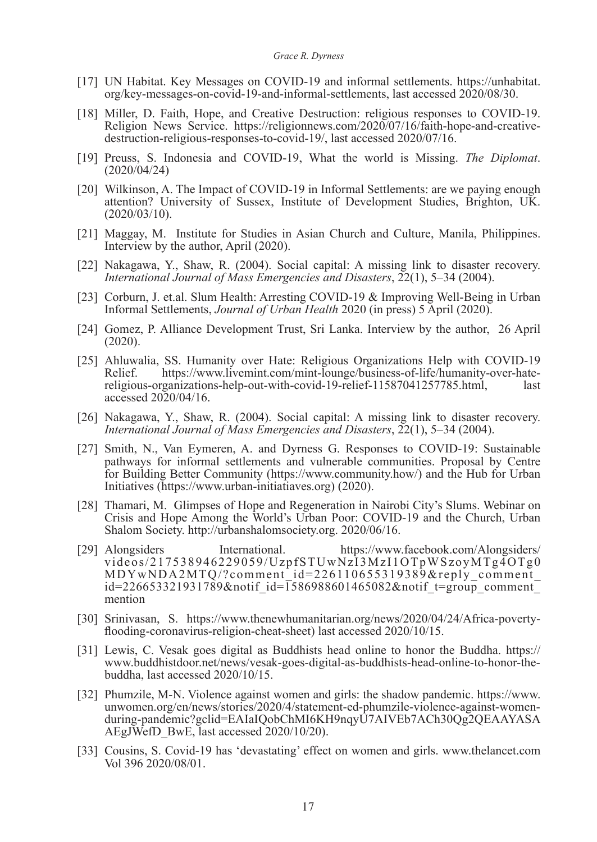- [17] UN Habitat. Key Messages on COVID-19 and informal settlements. https://unhabitat. org/key-messages-on-covid-19-and-informal-settlements, last accessed 2020/08/30.
- [18] Miller, D. Faith, Hope, and Creative Destruction: religious responses to COVID-19. Religion News Service. https://religionnews.com/2020/07/16/faith-hope-and-creativedestruction-religious-responses-to-covid-19/, last accessed 2020/07/16.
- [19] Preuss, S. Indonesia and COVID-19, What the world is Missing. *The Diplomat*. (2020/04/24)
- [20] Wilkinson, A. The Impact of COVID-19 in Informal Settlements: are we paying enough attention? University of Sussex, Institute of Development Studies, Brighton, UK. (2020/03/10).
- [21] Maggay, M. Institute for Studies in Asian Church and Culture, Manila, Philippines. Interview by the author, April (2020).
- [22] Nakagawa, Y., Shaw, R. (2004). Social capital: A missing link to disaster recovery. *International Journal of Mass Emergencies and Disasters*, 22(1), 5–34 (2004).
- [23] Corburn, J. et.al. Slum Health: Arresting COVID-19 & Improving Well-Being in Urban Informal Settlements, *Journal of Urban Health* 2020 (in press) 5 April (2020).
- [24] Gomez, P. Alliance Development Trust, Sri Lanka. Interview by the author, 26 April (2020).
- [25] Ahluwalia, SS. Humanity over Hate: Religious Organizations Help with COVID-19 Relief. https://www.livemint.com/mint-lounge/business-of-life/humanity-over-hate-<br>religious-organizations-help-out-with-covid-19-relief-11587041257785 html last religious-organizations-help-out-with-covid-19-relief-11587041257785.html, accessed 2020/04/16.
- [26] Nakagawa, Y., Shaw, R. (2004). Social capital: A missing link to disaster recovery. *International Journal of Mass Emergencies and Disasters*, 22(1), 5–34 (2004).
- [27] Smith, N., Van Eymeren, A. and Dyrness G. Responses to COVID-19: Sustainable pathways for informal settlements and vulnerable communities. Proposal by Centre for Building Better Community (https://www.community.how/) and the Hub for Urban Initiatives (https://www.urban-initiatiaves.org) (2020).
- [28] Thamari, M. Glimpses of Hope and Regeneration in Nairobi City's Slums. Webinar on Crisis and Hope Among the World's Urban Poor: COVID-19 and the Church, Urban Shalom Society. http://urbanshalomsociety.org. 2020/06/16.
- [29] Alongsiders International. https://www.facebook.com/Alongsiders/ videos/217538946229059/UzpfSTUwNzI3MzI1OTpWSzoyMTg4OTg0 MDYwNDA2MTQ/?comment\_id=226110655319389&reply\_comment\_  $id=226653321931789\&m$ notif  $id=1586988601465082\&m$ notif  $t=$ group comment mention
- [30] Srinivasan, S. https://www.thenewhumanitarian.org/news/2020/04/24/Africa-povertyflooding-coronavirus-religion-cheat-sheet) last accessed 2020/10/15.
- [31] Lewis, C. Vesak goes digital as Buddhists head online to honor the Buddha. https:// www.buddhistdoor.net/news/vesak-goes-digital-as-buddhists-head-online-to-honor-thebuddha, last accessed 2020/10/15.
- [32] Phumzile, M-N. Violence against women and girls: the shadow pandemic. https://www. unwomen.org/en/news/stories/2020/4/statement-ed-phumzile-violence-against-womenduring-pandemic?gclid=EAIaIQobChMI6KH9nqyU7AIVEb7ACh30Qg2QEAAYASA AEgJWefD\_BwE, last accessed 2020/10/20).
- [33] Cousins, S. Covid-19 has 'devastating' effect on women and girls. www.thelancet.com Vol 396 2020/08/01.